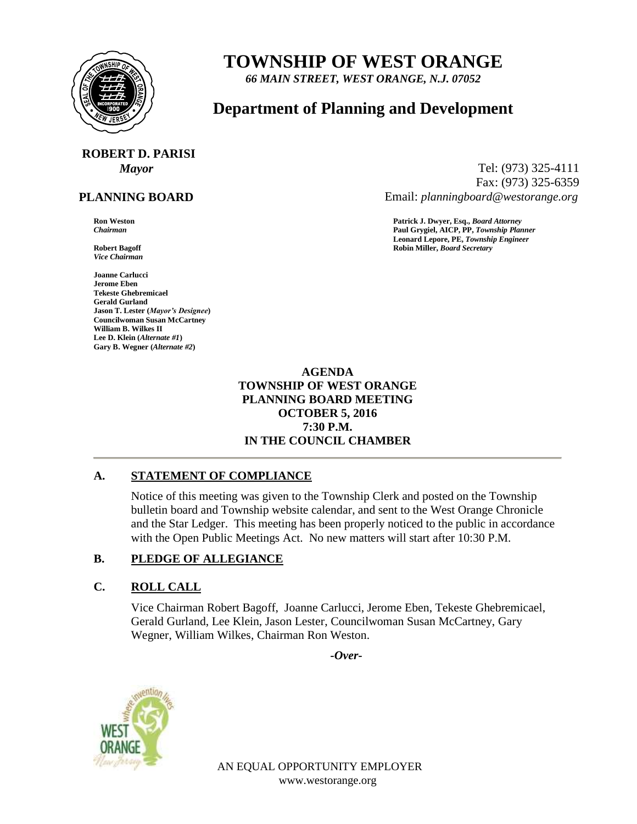

## **TOWNSHIP OF WEST ORANGE**

*66 MAIN STREET, WEST ORANGE, N.J. 07052*

### **Department of Planning and Development**

# **ROBERT D. PARISI**

#### **PLANNING BOARD**

*Vice Chairman*

**Joanne Carlucci Jerome Eben Tekeste Ghebremicael Gerald Gurland Jason T. Lester (***Mayor's Designee***) Councilwoman Susan McCartney William B. Wilkes II Lee D. Klein (***Alternate #1***) Gary B. Wegner (***Alternate #2***)**

*Mayor* Tel: (973) 325-4111 Fax: (973) 325-6359 Email: *planningboard@westorange.org*

**Ron Weston Patrick J. Dwyer, Esq.,** *Board Attorney Chairman* **Paul Grygiel, AICP, PP,** *Township Planner* **Leonard Lepore, PE,** *Township Engineer* **Robert Bagoff Robin Miller,** *Board Secretary*

#### **AGENDA TOWNSHIP OF WEST ORANGE PLANNING BOARD MEETING OCTOBER 5, 2016 7:30 P.M. IN THE COUNCIL CHAMBER**

#### **A. STATEMENT OF COMPLIANCE**

Notice of this meeting was given to the Township Clerk and posted on the Township bulletin board and Township website calendar, and sent to the West Orange Chronicle and the Star Ledger. This meeting has been properly noticed to the public in accordance with the Open Public Meetings Act. No new matters will start after 10:30 P.M.

#### **B. PLEDGE OF ALLEGIANCE**

#### **C. ROLL CALL**

Vice Chairman Robert Bagoff, Joanne Carlucci, Jerome Eben, Tekeste Ghebremicael, Gerald Gurland, Lee Klein, Jason Lester, Councilwoman Susan McCartney, Gary Wegner, William Wilkes, Chairman Ron Weston.

*-Over-*